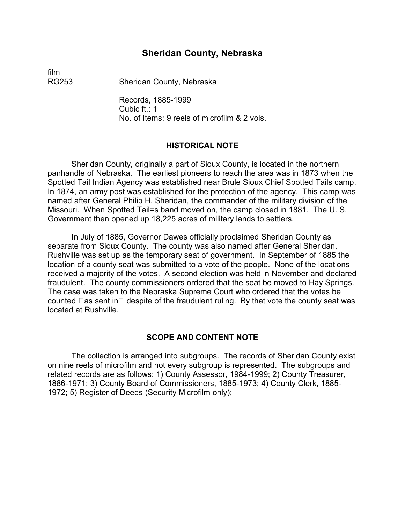### **Sheridan County, Nebraska**

film

RG253 Sheridan County, Nebraska

Records, 1885-1999 Cubic ft.: 1 No. of Items: 9 reels of microfilm & 2 vols.

#### **HISTORICAL NOTE**

Sheridan County, originally a part of Sioux County, is located in the northern panhandle of Nebraska. The earliest pioneers to reach the area was in 1873 when the Spotted Tail Indian Agency was established near Brule Sioux Chief Spotted Tails camp. In 1874, an army post was established for the protection of the agency. This camp was named after General Philip H. Sheridan, the commander of the military division of the Missouri. When Spotted Tail=s band moved on, the camp closed in 1881. The U. S. Government then opened up 18,225 acres of military lands to settlers.

In July of 1885, Governor Dawes officially proclaimed Sheridan County as separate from Sioux County. The county was also named after General Sheridan. Rushville was set up as the temporary seat of government. In September of 1885 the location of a county seat was submitted to a vote of the people. None of the locations received a majority of the votes. A second election was held in November and declared fraudulent. The county commissioners ordered that the seat be moved to Hay Springs. The case was taken to the Nebraska Supreme Court who ordered that the votes be counted  $\Box$  as sent in  $\Box$  despite of the fraudulent ruling. By that vote the county seat was located at Rushville.

#### **SCOPE AND CONTENT NOTE**

The collection is arranged into subgroups. The records of Sheridan County exist on nine reels of microfilm and not every subgroup is represented. The subgroups and related records are as follows: 1) County Assessor, 1984-1999; 2) County Treasurer, 1886-1971; 3) County Board of Commissioners, 1885-1973; 4) County Clerk, 1885- 1972; 5) Register of Deeds (Security Microfilm only);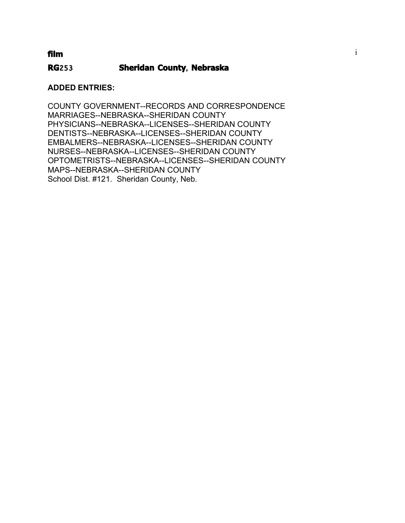### i **film**

### **RG**253 **Sheridan County**, **Nebraska**

### **ADDED ENTRIES:**

COUNTY GOVERNMENT--RECORDS AND CORRESPONDENCE MARRIAGES--NEBRASKA--SHERIDAN COUNTY PHYSICIANS--NEBRASKA--LICENSES--SHERIDAN COUNTY DENTISTS--NEBRASKA--LICENSES--SHERIDAN COUNTY EMBALMERS--NEBRASKA--LICENSES--SHERIDAN COUNTY NURSES--NEBRASKA--LICENSES--SHERIDAN COUNTY OPTOMETRISTS--NEBRASKA--LICENSES--SHERIDAN COUNTY MAPS--NEBRASKA--SHERIDAN COUNTY School Dist. #121. Sheridan County, Neb.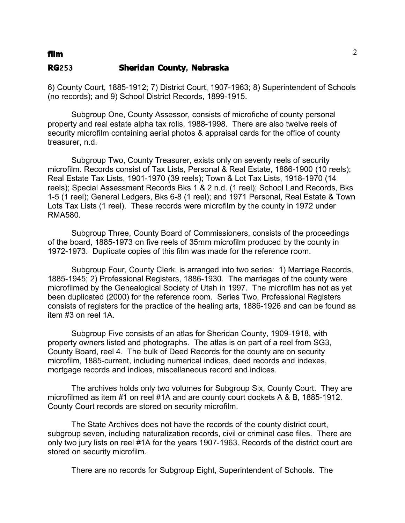### **film** 2

#### **RG**253 **Sheridan County**, **Nebraska**

6) County Court, 1885-1912; 7) District Court, 1907-1963; 8) Superintendent of Schools (no records); and 9) School District Records, 1899-1915.

Subgroup One, County Assessor, consists of microfiche of county personal property and real estate alpha tax rolls, 1988-1998. There are also twelve reels of security microfilm containing aerial photos & appraisal cards for the office of county treasurer, n.d.

Subgroup Two, County Treasurer, exists only on seventy reels of security microfilm. Records consist of Tax Lists, Personal & Real Estate, 1886-1900 (10 reels); Real Estate Tax Lists, 1901-1970 (39 reels); Town & Lot Tax Lists, 1918-1970 (14 reels); Special Assessment Records Bks 1 & 2 n.d. (1 reel); School Land Records, Bks 1-5 (1 reel); General Ledgers, Bks 6-8 (1 reel); and 1971 Personal, Real Estate & Town Lots Tax Lists (1 reel). These records were microfilm by the county in 1972 under RMA580.

Subgroup Three, County Board of Commissioners, consists of the proceedings of the board, 1885-1973 on five reels of 35mm microfilm produced by the county in 1972-1973. Duplicate copies of this film was made for the reference room.

Subgroup Four, County Clerk, is arranged into two series: 1) Marriage Records, 1885-1945; 2) Professional Registers, 1886-1930. The marriages of the county were microfilmed by the Genealogical Society of Utah in 1997. The microfilm has not as yet been duplicated (2000) for the reference room. Series Two, Professional Registers consists of registers for the practice of the healing arts, 1886-1926 and can be found as item #3 on reel 1A.

Subgroup Five consists of an atlas for Sheridan County, 1909-1918, with property owners listed and photographs. The atlas is on part of a reel from SG3, County Board, reel 4. The bulk of Deed Records for the county are on security microfilm, 1885-current, including numerical indices, deed records and indexes, mortgage records and indices, miscellaneous record and indices.

The archives holds only two volumes for Subgroup Six, County Court. They are microfilmed as item #1 on reel #1A and are county court dockets A & B, 1885-1912. County Court records are stored on security microfilm.

The State Archives does not have the records of the county district court, subgroup seven, including naturalization records, civil or criminal case files. There are only two jury lists on reel #1A for the years 1907-1963. Records of the district court are stored on security microfilm.

There are no records for Subgroup Eight, Superintendent of Schools. The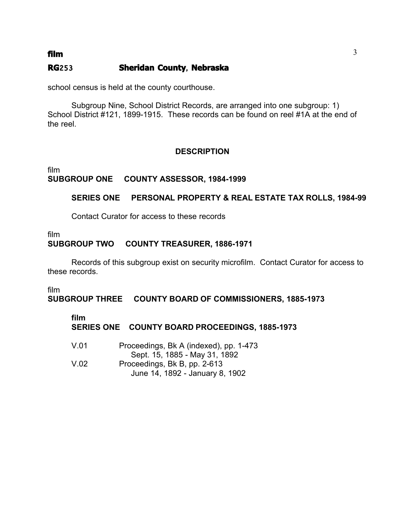### **RG**253 **Sheridan County**, **Nebraska**

school census is held at the county courthouse.

Subgroup Nine, School District Records, are arranged into one subgroup: 1) School District #121, 1899-1915. These records can be found on reel #1A at the end of the reel.

### **DESCRIPTION**

film **SUBGROUP ONE COUNTY ASSESSOR, 1984-1999** 

### **SERIES ONE PERSONAL PROPERTY & REAL ESTATE TAX ROLLS, 1984-99**

Contact Curator for access to these records

film **SUBGROUP TWO COUNTY TREASURER, 1886-1971** 

Records of this subgroup exist on security microfilm. Contact Curator for access to these records.

film

**SUBGROUP THREE COUNTY BOARD OF COMMISSIONERS, 1885-1973** 

#### **film**

## **SERIES ONE COUNTY BOARD PROCEEDINGS, 1885-1973**

V.01 � Proceedings, Bk A (indexed), pp. 1-473 Sept. 15, 1885 - May 31, 1892 V.02 Proceedings, Bk B, pp. 2-613 June 14, 1892 - January 8, 1902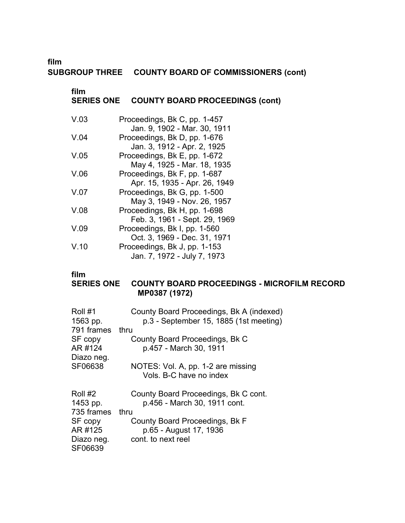**film**

### **SUBGROUP THREE COUNTY BOARD OF COMMISSIONERS (cont)**

### **film** �

## **SERIES ONE COUNTY BOARD PROCEEDINGS (cont)**

| V.03 | Proceedings, Bk C, pp. 1-457<br>Jan. 9, 1902 - Mar. 30, 1911  |
|------|---------------------------------------------------------------|
| V.04 | Proceedings, Bk D, pp. 1-676<br>Jan. 3, 1912 - Apr. 2, 1925   |
| V.05 | Proceedings, Bk E, pp. 1-672<br>May 4, 1925 - Mar. 18, 1935   |
| V.06 | Proceedings, Bk F, pp. 1-687<br>Apr. 15, 1935 - Apr. 26, 1949 |
| V.07 | Proceedings, Bk G, pp. 1-500<br>May 3, 1949 - Nov. 26, 1957   |
| V.08 | Proceedings, Bk H, pp. 1-698<br>Feb. 3, 1961 - Sept. 29, 1969 |
| V.09 | Proceedings, Bk I, pp. 1-560<br>Oct. 3, 1969 - Dec. 31, 1971  |
| V.10 | Proceedings, Bk J, pp. 1-153<br>Jan. 7, 1972 - July 7, 1973   |

#### **film**

### **SERIES ONE COUNTY BOARD PROCEEDINGS - MICROFILM RECORD MP0387 (1972)**

| Roll #1<br>1563 pp. | County Board Proceedings, Bk A (indexed)<br>p.3 - September 15, 1885 (1st meeting) |
|---------------------|------------------------------------------------------------------------------------|
| 791 frames          | thru                                                                               |
| SF copy             | County Board Proceedings, Bk C                                                     |
| AR #124             | p.457 - March 30, 1911                                                             |
| Diazo neg.          |                                                                                    |
| SF06638             | NOTES: Vol. A, pp. 1-2 are missing<br>Vols. B-C have no index                      |
| Roll #2             | County Board Proceedings, Bk C cont.                                               |
| 1453 pp.            | p.456 - March 30, 1911 cont.                                                       |
| 735 frames          | thru                                                                               |
| SF copy             | County Board Proceedings, Bk F                                                     |
| AR #125             | p.65 - August 17, 1936                                                             |
| Diazo neg.          | cont. to next reel                                                                 |
| SF06639             |                                                                                    |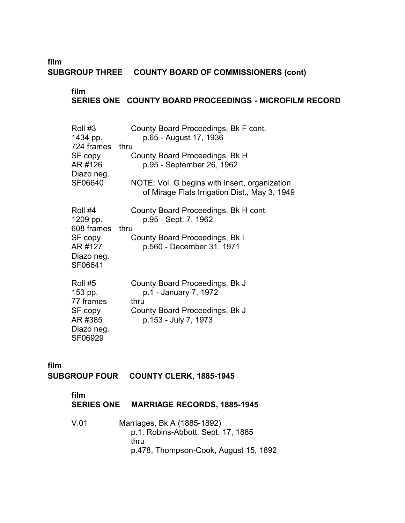**film SUBGROUP THREE COUNTY BOARD OF COMMISSIONERS (cont)**

## **film SERIES ONE COUNTY BOARD PROCEEDINGS - MICROFILM RECORD**

| Roll #3<br>1434 pp.<br>724 frames<br>SF copy<br>AR #126<br>Diazo neg.<br>SF06640 | County Board Proceedings, Bk F cont.<br>p.65 - August 17, 1936<br>thru<br>County Board Proceedings, Bk H<br>p.95 - September 26, 1962<br>NOTE: Vol. G begins with insert, organization<br>of Mirage Flats Irrigation Dist., May 3, 1949 |
|----------------------------------------------------------------------------------|-----------------------------------------------------------------------------------------------------------------------------------------------------------------------------------------------------------------------------------------|
| Roll #4<br>1209 pp.<br>608 frames<br>SF copy<br>AR #127<br>Diazo neg.<br>SF06641 | County Board Proceedings, Bk H cont.<br>p.95 - Sept. 7, 1962<br>thru<br>County Board Proceedings, Bk I<br>p.560 - December 31, 1971                                                                                                     |
| Roll #5<br>153 pp.<br>77 frames<br>SF copy<br>AR #385<br>Diazo neg.<br>SF06929   | County Board Proceedings, Bk J<br>p.1 - January 7, 1972<br>thru<br>County Board Proceedings, Bk J<br>p.153 - July 7, 1973                                                                                                               |

**film** 

### **SUBGROUP FOUR COUNTY CLERK, 1885-1945**

#### **film**

- **SERIES ONE MARRIAGE RECORDS, 1885-1945**
- V.01 � Marriages, Bk A (1885-1892) p.1, Robins-Abbott, Sept. 17, 1885 thru p.478, Thompson-Cook, August 15, 1892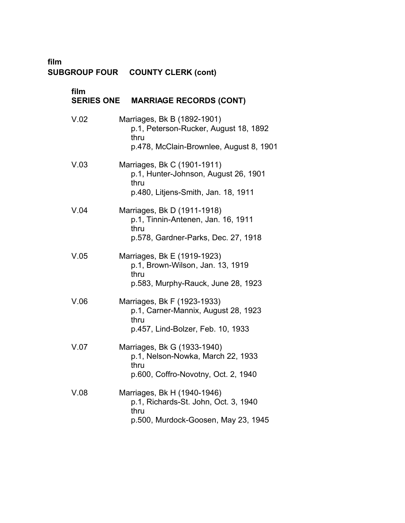**film** �

## **SUBGROUP FOUR COUNTY CLERK (cont)** �

| film<br><b>SERIES ONE</b> | <b>MARRIAGE RECORDS (CONT)</b>                                                                                          |
|---------------------------|-------------------------------------------------------------------------------------------------------------------------|
| V.02                      | Marriages, Bk B (1892-1901)<br>p.1, Peterson-Rucker, August 18, 1892<br>thru<br>p.478, McClain-Brownlee, August 8, 1901 |
| V.03                      | Marriages, Bk C (1901-1911)<br>p.1, Hunter-Johnson, August 26, 1901<br>thru<br>p.480, Litjens-Smith, Jan. 18, 1911      |
| V.04                      | Marriages, Bk D (1911-1918)<br>p.1, Tinnin-Antenen, Jan. 16, 1911<br>thru<br>p.578, Gardner-Parks, Dec. 27, 1918        |
| V.05                      | Marriages, Bk E (1919-1923)<br>p.1, Brown-Wilson, Jan. 13, 1919<br>thru<br>p.583, Murphy-Rauck, June 28, 1923           |
| V.06                      | Marriages, Bk F (1923-1933)<br>p.1, Carner-Mannix, August 28, 1923<br>thru<br>p.457, Lind-Bolzer, Feb. 10, 1933         |
| V.07                      | Marriages, Bk G (1933-1940)<br>p.1, Nelson-Nowka, March 22, 1933<br>thru<br>p.600, Coffro-Novotny, Oct. 2, 1940         |
| V.08                      | Marriages, Bk H (1940-1946)<br>p.1, Richards-St. John, Oct. 3, 1940<br>thru<br>p.500, Murdock-Goosen, May 23, 1945      |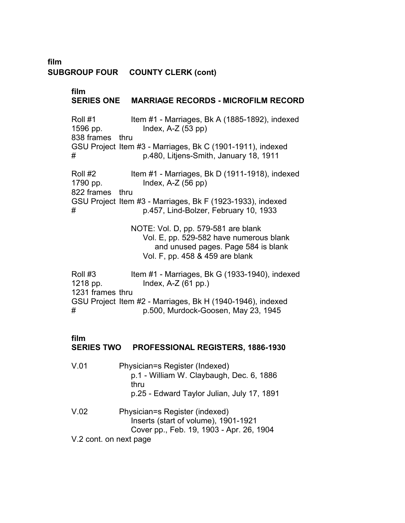**film SUBGROUP FOUR COUNTY CLERK (cont)**

> **film SERIES ONE MARRIAGE RECORDS - MICROFILM RECORD**  Roll #1 Item #1 - Marriages, Bk A (1885-1892), indexed 1596 pp. Index, A-Z (53 pp) 838 frames thru GSU Project Item #3 - Marriages, Bk C (1901-1911), indexed # p.480, Litjens-Smith, January 18, 1911 Roll #2 Item #1 - Marriages, Bk D (1911-1918), indexed 1790 pp. Index, A-Z (56 pp) 822 frames thru GSU Project Item #3 - Marriages, Bk F (1923-1933), indexed # p.457, Lind-Bolzer, February 10, 1933 NOTE: Vol. D, pp. 579-581 are blank Vol. E, pp. 529-582 have numerous blank and unused pages. Page 584 is blank Vol. F, pp. 458 & 459 are blank Roll #3 Item #1 - Marriages, Bk G (1933-1940), indexed 1218 pp. Index, A-Z (61 pp.) 1231 frames thru GSU Project Item #2 - Marriages, Bk H (1940-1946), indexed # p.500, Murdock-Goosen, May 23, 1945

#### **film**

### **SERIES TWO PROFESSIONAL REGISTERS, 1886-1930**

| V.01 | Physician=s Register (Indexed)<br>p.1 - William W. Claybaugh, Dec. 6, 1886<br>thru<br>p.25 - Edward Taylor Julian, July 17, 1891 |
|------|----------------------------------------------------------------------------------------------------------------------------------|
| V.02 | Physician=s Register (indexed)<br>Inserts (start of volume), 1901-1921<br>Cover pp., Feb. 19, 1903 - Apr. 26, 1904               |
|      | V.2 cont. on next page                                                                                                           |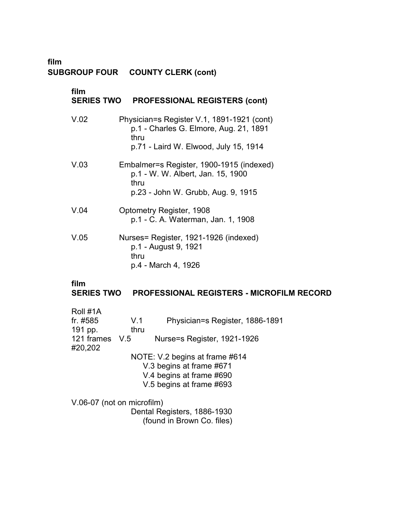**film**

# **SUBGROUP FOUR COUNTY CLERK (cont)**

| film<br><b>SERIES TWO</b> | <b>PROFESSIONAL REGISTERS (cont)</b>                                                                                                  |
|---------------------------|---------------------------------------------------------------------------------------------------------------------------------------|
| V.02                      | Physician=s Register V.1, 1891-1921 (cont)<br>p.1 - Charles G. Elmore, Aug. 21, 1891<br>thru<br>p.71 - Laird W. Elwood, July 15, 1914 |
| V.03                      | Embalmer=s Register, 1900-1915 (indexed)<br>p.1 - W. W. Albert, Jan. 15, 1900<br>thru<br>p.23 - John W. Grubb, Aug. 9, 1915           |
| V.04                      | Optometry Register, 1908<br>p.1 - C. A. Waterman, Jan. 1, 1908                                                                        |
| V.05                      | Nurses= Register, 1921-1926 (indexed)<br>p.1 - August 9, 1921<br>thru<br>p.4 - March 4, 1926                                          |
| film<br><b>SERIES TWO</b> | <b>PROFESSIONAL REGISTERS - MICROFILM RECORD</b>                                                                                      |

| Roll #1A                   |      |                                 |
|----------------------------|------|---------------------------------|
| fr. #585                   | V.1  | Physician=s Register, 1886-1891 |
| 191 pp.                    | thru |                                 |
| 121 frames V.5             |      | Nurse=s Register, 1921-1926     |
| #20,202                    |      |                                 |
|                            |      | NOTE: V.2 begins at frame #614  |
|                            |      | V.3 begins at frame #671        |
|                            |      | V.4 begins at frame #690        |
|                            |      | V.5 begins at frame #693        |
|                            |      |                                 |
| V.06-07 (not on microfilm) |      |                                 |
|                            |      | Dental Registers, 1886-1930     |

(found in Brown Co. files) �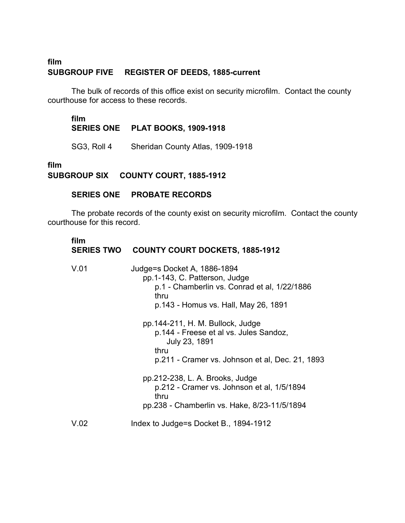### **film SUBGROUP FIVE REGISTER OF DEEDS, 1885-current**

The bulk of records of this office exist on security microfilm. Contact the county courthouse for access to these records.

**film SERIES ONE PLAT BOOKS, 1909-1918** �

SG3, Roll 4 Sheridan County Atlas, 1909-1918

**film** 

**SUBGROUP SIX COUNTY COURT, 1885-1912** 

### **SERIES ONE PROBATE RECORDS**

The probate records of the county exist on security microfilm. Contact the county courthouse for this record.

# **film SERIES TWO COUNTY COURT DOCKETS, 1885-1912** �

| V.01 | Judge=s Docket A, 1886-1894<br>pp.1-143, C. Patterson, Judge<br>p.1 - Chamberlin vs. Conrad et al, 1/22/1886<br>thru<br>p.143 - Homus vs. Hall, May 26, 1891 |
|------|--------------------------------------------------------------------------------------------------------------------------------------------------------------|
|      | pp.144-211, H. M. Bullock, Judge<br>p.144 - Freese et al vs. Jules Sandoz,<br>July 23, 1891<br>thru                                                          |
|      | p.211 - Cramer vs. Johnson et al, Dec. 21, 1893                                                                                                              |
|      | pp.212-238, L. A. Brooks, Judge<br>p.212 - Cramer vs. Johnson et al, 1/5/1894<br>thru<br>pp.238 - Chamberlin vs. Hake, 8/23-11/5/1894                        |
| V.02 | Index to Judge=s Docket B., 1894-1912                                                                                                                        |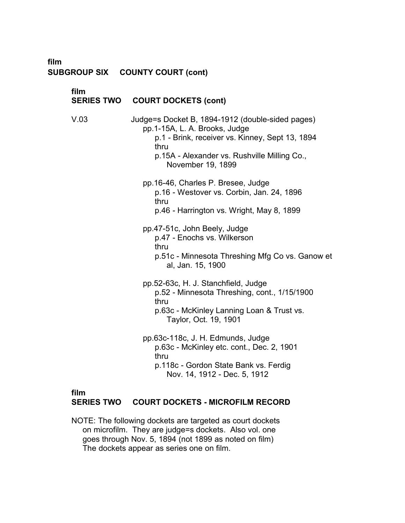## **film SUBGROUP SIX COUNTY COURT (cont)**

| film<br><b>SERIES TWO</b> | <b>COURT DOCKETS (cont)</b>                                                                                                                                                                                       |  |
|---------------------------|-------------------------------------------------------------------------------------------------------------------------------------------------------------------------------------------------------------------|--|
| V.03                      | Judge=s Docket B, 1894-1912 (double-sided pages)<br>pp.1-15A, L. A. Brooks, Judge<br>p.1 - Brink, receiver vs. Kinney, Sept 13, 1894<br>thru<br>p.15A - Alexander vs. Rushville Milling Co.,<br>November 19, 1899 |  |
|                           | pp.16-46, Charles P. Bresee, Judge<br>p.16 - Westover vs. Corbin, Jan. 24, 1896<br>thru<br>p.46 - Harrington vs. Wright, May 8, 1899                                                                              |  |
|                           | pp.47-51c, John Beely, Judge<br>p.47 - Enochs vs. Wilkerson<br>thru<br>p.51c - Minnesota Threshing Mfg Co vs. Ganow et<br>al, Jan. 15, 1900                                                                       |  |
|                           | pp.52-63c, H. J. Stanchfield, Judge<br>p.52 - Minnesota Threshing, cont., 1/15/1900<br>thru<br>p.63c - McKinley Lanning Loan & Trust vs.<br>Taylor, Oct. 19, 1901                                                 |  |
|                           | pp.63c-118c, J. H. Edmunds, Judge<br>p.63c - McKinley etc. cont., Dec. 2, 1901<br>thru<br>p.118c - Gordon State Bank vs. Ferdig<br>Nov. 14, 1912 - Dec. 5, 1912                                                   |  |
|                           |                                                                                                                                                                                                                   |  |

## **film**

### **SERIES TWO COURT DOCKETS - MICROFILM RECORD**

NOTE: The following dockets are targeted as court dockets � on microfilm. They are judge=s dockets. Also vol. one � goes through Nov. 5, 1894 (not 1899 as noted on film) � The dockets appear as series one on film. �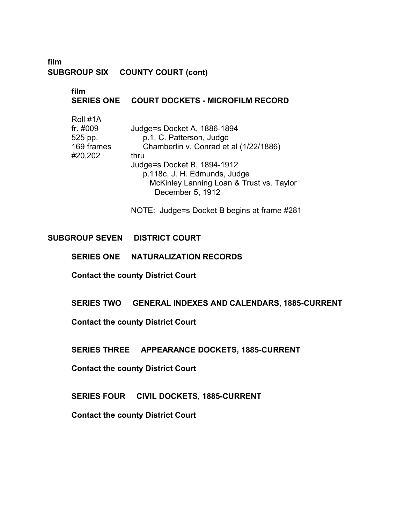### **film SUBGROUP SIX COUNTY COURT (cont)**

## **film** � **SERIES ONE COURT DOCKETS - MICROFILM RECORD**

| Roll #1A   |                                          |
|------------|------------------------------------------|
| fr. #009   | Judge=s Docket A, 1886-1894              |
| 525 pp.    | p.1, C. Patterson, Judge                 |
| 169 frames | Chamberlin v. Conrad et al (1/22/1886)   |
| #20,202    | thru                                     |
|            | Judge=s Docket B, 1894-1912              |
|            | p.118c, J. H. Edmunds, Judge             |
|            | McKinley Lanning Loan & Trust vs. Taylor |
|            | December 5, 1912                         |

NOTE: Judge=s Docket B begins at frame #281

### **SUBGROUP SEVEN DISTRICT COURT**

#### **SERIES ONE NATURALIZATION RECORDS**

**Contact the county District Court** 

### **SERIES TWO GENERAL INDEXES AND CALENDARS, 1885-CURRENT**

**Contact the county District Court** 

**SERIES THREE APPEARANCE DOCKETS, 1885-CURRENT** 

**Contact the county District Court** 

**SERIES FOUR CIVIL DOCKETS, 1885-CURRENT**

**Contact the county District Court** �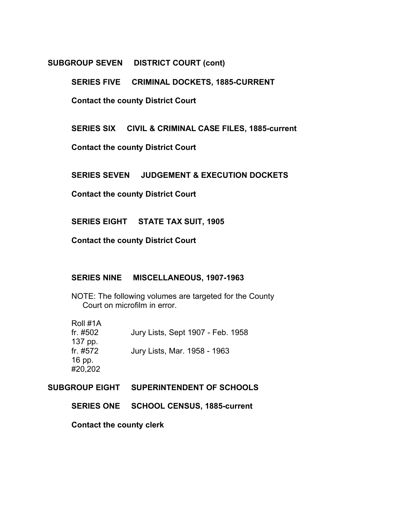#### **SUBGROUP SEVEN DISTRICT COURT (cont)**

**SERIES FIVE CRIMINAL DOCKETS, 1885-CURRENT** 

**Contact the county District Court** 

**SERIES SIX CIVIL & CRIMINAL CASE FILES, 1885-current** 

**Contact the county District Court** 

**SERIES SEVEN JUDGEMENT & EXECUTION DOCKETS** 

**Contact the county District Court** 

**SERIES EIGHT STATE TAX SUIT, 1905** 

**Contact the county District Court** 

### **SERIES NINE MISCELLANEOUS, 1907-1963**

NOTE: The following volumes are targeted for the County Court on microfilm in error.

| Roll #1A |                                   |
|----------|-----------------------------------|
| fr. #502 | Jury Lists, Sept 1907 - Feb. 1958 |
| 137 pp.  |                                   |
| fr. #572 | Jury Lists, Mar. 1958 - 1963      |
| 16 pp.   |                                   |
| #20,202  |                                   |

**SUBGROUP EIGHT SUPERINTENDENT OF SCHOOLS** 

**SERIES ONE SCHOOL CENSUS, 1885-current** 

**Contact the county clerk**